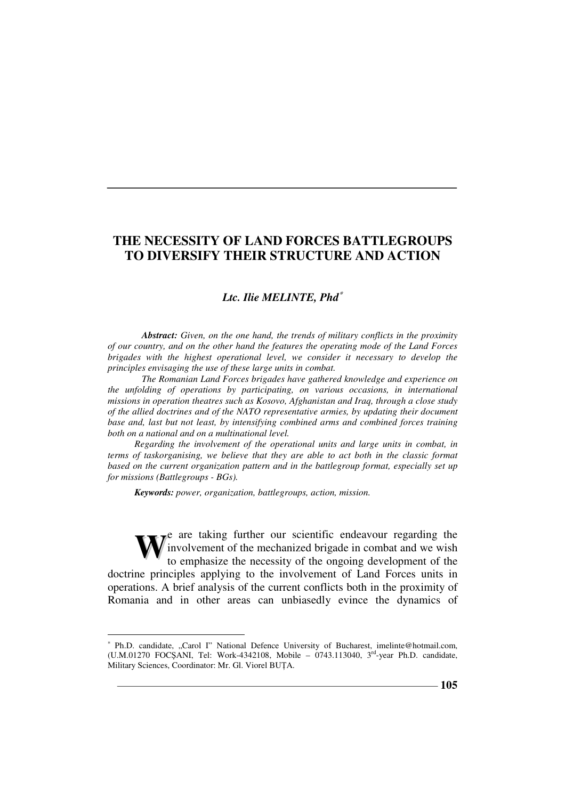#### *Ltc. Ilie MELINTE, Phd*<sup>∗</sup>

*Abstract: Given, on the one hand, the trends of military conflicts in the proximity of our country, and on the other hand the features the operating mode of the Land Forces brigades with the highest operational level, we consider it necessary to develop the principles envisaging the use of these large units in combat.* 

*The Romanian Land Forces brigades have gathered knowledge and experience on the unfolding of operations by participating, on various occasions, in international missions in operation theatres such as Kosovo, Afghanistan and Iraq, through a close study of the allied doctrines and of the NATO representative armies, by updating their document base and, last but not least, by intensifying combined arms and combined forces training both on a national and on a multinational level.* 

*Regarding the involvement of the operational units and large units in combat, in terms of taskorganising, we believe that they are able to act both in the classic format*  based on the current organization pattern and in the battlegroup format, especially set up *for missions (Battlegroups - BGs).* 

*Keywords: power, organization, battlegroups, action, mission.*

 $\overline{a}$ 

e are taking further our scientific endeavour regarding the involvement of the mechanized brigade in combat and we wish to emphasize the necessity of the ongoing development of the doctrine principles applying to the involvement of Land Forces units in operations. A brief analysis of the current conflicts both in the proximity of Romania and in other areas can unbiasedly evince the dynamics of **W**

<sup>∗</sup> Ph.D. candidate, "Carol I" National Defence University of Bucharest, imelinte@hotmail.com, (U.M.01270 FOCŞANI, Tel: Work-4342108, Mobile – 0743.113040,  $3<sup>rd</sup>$ -year Ph.D. candidate, Military Sciences, Coordinator: Mr. Gl. Viorel BUȚA.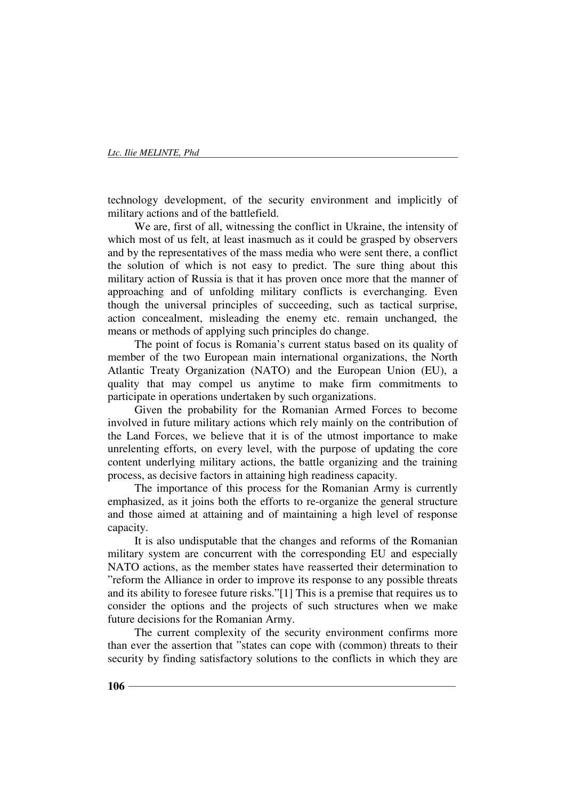technology development, of the security environment and implicitly of military actions and of the battlefield.

We are, first of all, witnessing the conflict in Ukraine, the intensity of which most of us felt, at least inasmuch as it could be grasped by observers and by the representatives of the mass media who were sent there, a conflict the solution of which is not easy to predict. The sure thing about this military action of Russia is that it has proven once more that the manner of approaching and of unfolding military conflicts is everchanging. Even though the universal principles of succeeding, such as tactical surprise, action concealment, misleading the enemy etc. remain unchanged, the means or methods of applying such principles do change.

The point of focus is Romania's current status based on its quality of member of the two European main international organizations, the North Atlantic Treaty Organization (NATO) and the European Union (EU), a quality that may compel us anytime to make firm commitments to participate in operations undertaken by such organizations.

Given the probability for the Romanian Armed Forces to become involved in future military actions which rely mainly on the contribution of the Land Forces, we believe that it is of the utmost importance to make unrelenting efforts, on every level, with the purpose of updating the core content underlying military actions, the battle organizing and the training process, as decisive factors in attaining high readiness capacity.

The importance of this process for the Romanian Army is currently emphasized, as it joins both the efforts to re-organize the general structure and those aimed at attaining and of maintaining a high level of response capacity.

It is also undisputable that the changes and reforms of the Romanian military system are concurrent with the corresponding EU and especially NATO actions, as the member states have reasserted their determination to "reform the Alliance in order to improve its response to any possible threats and its ability to foresee future risks."[1] This is a premise that requires us to consider the options and the projects of such structures when we make future decisions for the Romanian Army.

The current complexity of the security environment confirms more than ever the assertion that "states can cope with (common) threats to their security by finding satisfactory solutions to the conflicts in which they are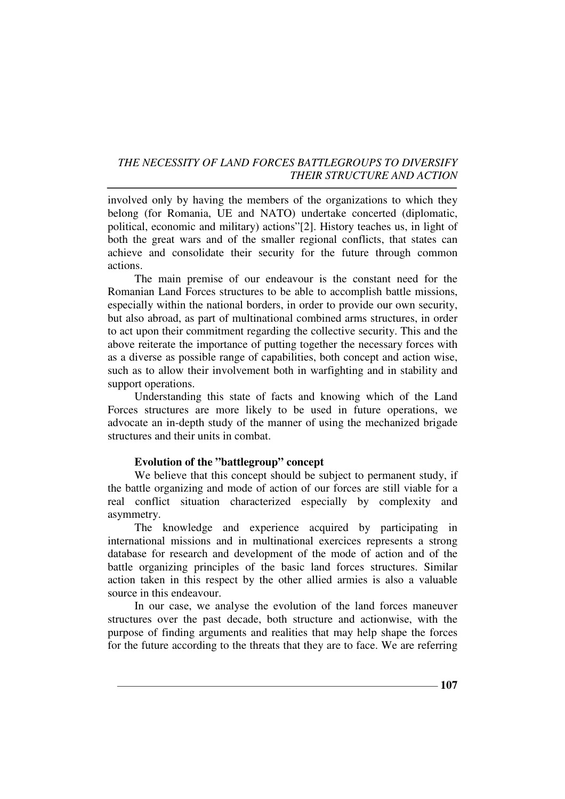involved only by having the members of the organizations to which they belong (for Romania, UE and NATO) undertake concerted (diplomatic, political, economic and military) actions"[2]. History teaches us, in light of both the great wars and of the smaller regional conflicts, that states can achieve and consolidate their security for the future through common actions.

The main premise of our endeavour is the constant need for the Romanian Land Forces structures to be able to accomplish battle missions, especially within the national borders, in order to provide our own security, but also abroad, as part of multinational combined arms structures, in order to act upon their commitment regarding the collective security. This and the above reiterate the importance of putting together the necessary forces with as a diverse as possible range of capabilities, both concept and action wise, such as to allow their involvement both in warfighting and in stability and support operations.

Understanding this state of facts and knowing which of the Land Forces structures are more likely to be used in future operations, we advocate an in-depth study of the manner of using the mechanized brigade structures and their units in combat.

#### **Evolution of the "battlegroup" concept**

We believe that this concept should be subject to permanent study, if the battle organizing and mode of action of our forces are still viable for a real conflict situation characterized especially by complexity and asymmetry.

The knowledge and experience acquired by participating in international missions and in multinational exercices represents a strong database for research and development of the mode of action and of the battle organizing principles of the basic land forces structures. Similar action taken in this respect by the other allied armies is also a valuable source in this endeavour.

In our case, we analyse the evolution of the land forces maneuver structures over the past decade, both structure and actionwise, with the purpose of finding arguments and realities that may help shape the forces for the future according to the threats that they are to face. We are referring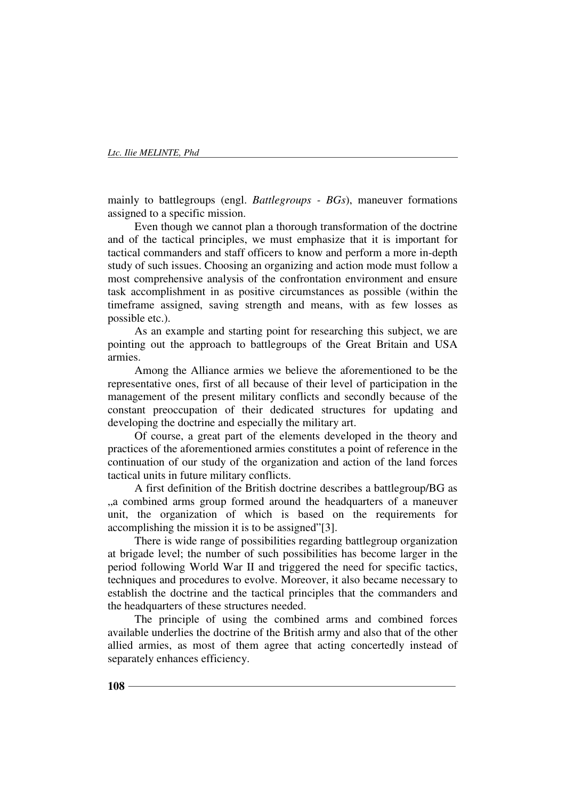mainly to battlegroups (engl. *Battlegroups - BGs*), maneuver formations assigned to a specific mission.

Even though we cannot plan a thorough transformation of the doctrine and of the tactical principles, we must emphasize that it is important for tactical commanders and staff officers to know and perform a more in-depth study of such issues. Choosing an organizing and action mode must follow a most comprehensive analysis of the confrontation environment and ensure task accomplishment in as positive circumstances as possible (within the timeframe assigned, saving strength and means, with as few losses as possible etc.).

As an example and starting point for researching this subject, we are pointing out the approach to battlegroups of the Great Britain and USA armies.

Among the Alliance armies we believe the aforementioned to be the representative ones, first of all because of their level of participation in the management of the present military conflicts and secondly because of the constant preoccupation of their dedicated structures for updating and developing the doctrine and especially the military art.

Of course, a great part of the elements developed in the theory and practices of the aforementioned armies constitutes a point of reference in the continuation of our study of the organization and action of the land forces tactical units in future military conflicts.

A first definition of the British doctrine describes a battlegroup/BG as "a combined arms group formed around the headquarters of a maneuver unit, the organization of which is based on the requirements for accomplishing the mission it is to be assigned"[3].

There is wide range of possibilities regarding battlegroup organization at brigade level; the number of such possibilities has become larger in the period following World War II and triggered the need for specific tactics, techniques and procedures to evolve. Moreover, it also became necessary to establish the doctrine and the tactical principles that the commanders and the headquarters of these structures needed.

The principle of using the combined arms and combined forces available underlies the doctrine of the British army and also that of the other allied armies, as most of them agree that acting concertedly instead of separately enhances efficiency.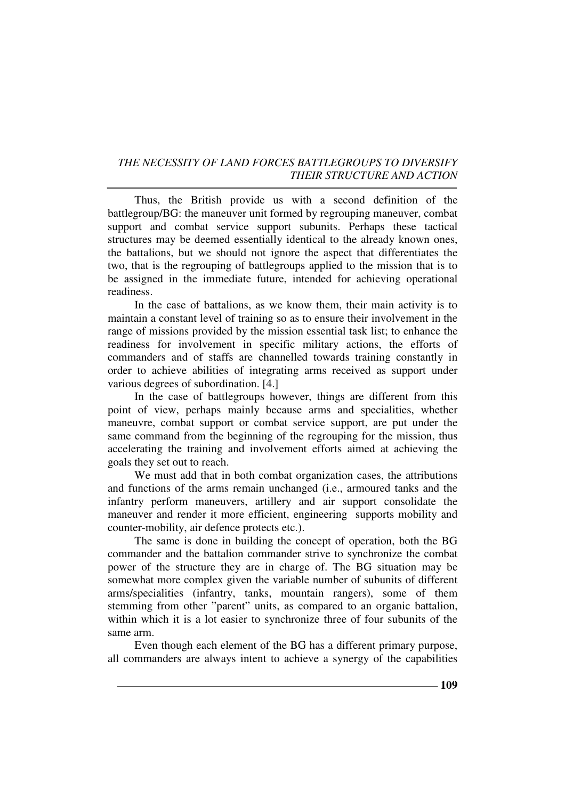Thus, the British provide us with a second definition of the battlegroup/BG: the maneuver unit formed by regrouping maneuver, combat support and combat service support subunits. Perhaps these tactical structures may be deemed essentially identical to the already known ones, the battalions, but we should not ignore the aspect that differentiates the two, that is the regrouping of battlegroups applied to the mission that is to be assigned in the immediate future, intended for achieving operational readiness.

In the case of battalions, as we know them, their main activity is to maintain a constant level of training so as to ensure their involvement in the range of missions provided by the mission essential task list; to enhance the readiness for involvement in specific military actions, the efforts of commanders and of staffs are channelled towards training constantly in order to achieve abilities of integrating arms received as support under various degrees of subordination. [4.]

In the case of battlegroups however, things are different from this point of view, perhaps mainly because arms and specialities, whether maneuvre, combat support or combat service support, are put under the same command from the beginning of the regrouping for the mission, thus accelerating the training and involvement efforts aimed at achieving the goals they set out to reach.

We must add that in both combat organization cases, the attributions and functions of the arms remain unchanged (i.e., armoured tanks and the infantry perform maneuvers, artillery and air support consolidate the maneuver and render it more efficient, engineering supports mobility and counter-mobility, air defence protects etc.).

The same is done in building the concept of operation, both the BG commander and the battalion commander strive to synchronize the combat power of the structure they are in charge of. The BG situation may be somewhat more complex given the variable number of subunits of different arms/specialities (infantry, tanks, mountain rangers), some of them stemming from other "parent" units, as compared to an organic battalion, within which it is a lot easier to synchronize three of four subunits of the same arm.

Even though each element of the BG has a different primary purpose, all commanders are always intent to achieve a synergy of the capabilities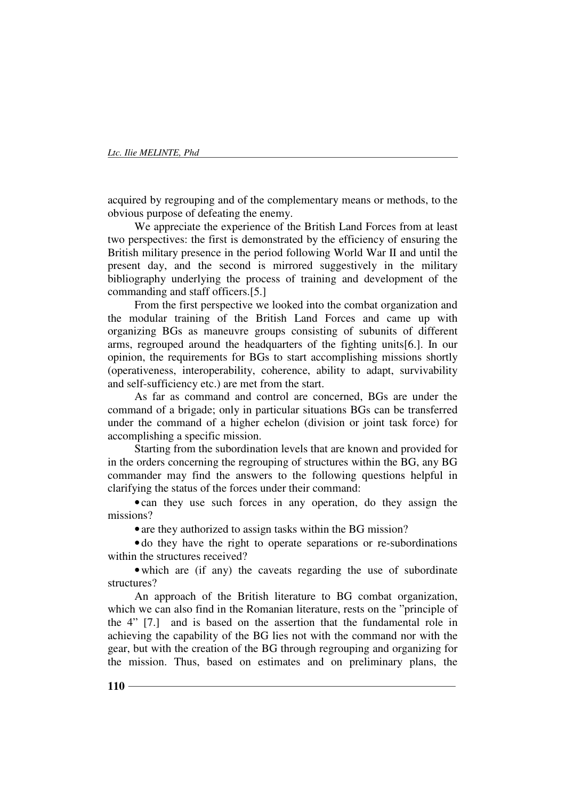acquired by regrouping and of the complementary means or methods, to the obvious purpose of defeating the enemy.

We appreciate the experience of the British Land Forces from at least two perspectives: the first is demonstrated by the efficiency of ensuring the British military presence in the period following World War II and until the present day, and the second is mirrored suggestively in the military bibliography underlying the process of training and development of the commanding and staff officers.[5.]

From the first perspective we looked into the combat organization and the modular training of the British Land Forces and came up with organizing BGs as maneuvre groups consisting of subunits of different arms, regrouped around the headquarters of the fighting units[6.]. In our opinion, the requirements for BGs to start accomplishing missions shortly (operativeness, interoperability, coherence, ability to adapt, survivability and self-sufficiency etc.) are met from the start.

As far as command and control are concerned, BGs are under the command of a brigade; only in particular situations BGs can be transferred under the command of a higher echelon (division or joint task force) for accomplishing a specific mission.

Starting from the subordination levels that are known and provided for in the orders concerning the regrouping of structures within the BG, any BG commander may find the answers to the following questions helpful in clarifying the status of the forces under their command:

• can they use such forces in any operation, do they assign the missions?

• are they authorized to assign tasks within the BG mission?

• do they have the right to operate separations or re-subordinations within the structures received?

• which are (if any) the caveats regarding the use of subordinate structures?

An approach of the British literature to BG combat organization, which we can also find in the Romanian literature, rests on the "principle of the 4" [7.] and is based on the assertion that the fundamental role in achieving the capability of the BG lies not with the command nor with the gear, but with the creation of the BG through regrouping and organizing for the mission. Thus, based on estimates and on preliminary plans, the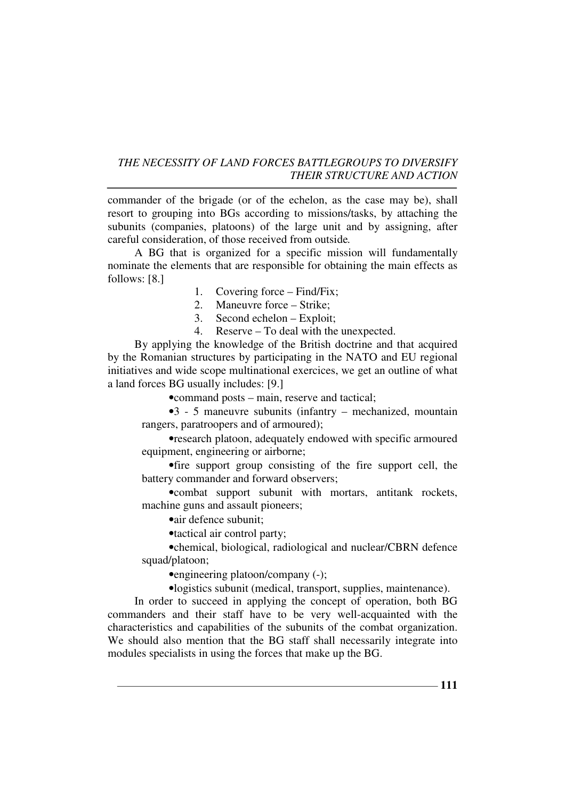commander of the brigade (or of the echelon, as the case may be), shall resort to grouping into BGs according to missions/tasks, by attaching the subunits (companies, platoons) of the large unit and by assigning, after careful consideration, of those received from outside*.*

A BG that is organized for a specific mission will fundamentally nominate the elements that are responsible for obtaining the main effects as follows: [8.]

- 1. Covering force Find/Fix;
- 2. Maneuvre force Strike;
- 3. Second echelon Exploit;
- 4. Reserve To deal with the unexpected.

By applying the knowledge of the British doctrine and that acquired by the Romanian structures by participating in the NATO and EU regional initiatives and wide scope multinational exercices, we get an outline of what a land forces BG usually includes: [9.]

• command posts – main, reserve and tactical;

•3 - 5 maneuvre subunits (infantry – mechanized, mountain rangers, paratroopers and of armoured);

•research platoon, adequately endowed with specific armoured equipment, engineering or airborne;

•fire support group consisting of the fire support cell, the battery commander and forward observers;

•combat support subunit with mortars, antitank rockets, machine guns and assault pioneers;

•air defence subunit;

•tactical air control party;

•chemical, biological, radiological and nuclear/CBRN defence squad/platoon;

•engineering platoon/company (-);

•logistics subunit (medical, transport, supplies, maintenance).

In order to succeed in applying the concept of operation, both BG commanders and their staff have to be very well-acquainted with the characteristics and capabilities of the subunits of the combat organization. We should also mention that the BG staff shall necessarily integrate into modules specialists in using the forces that make up the BG.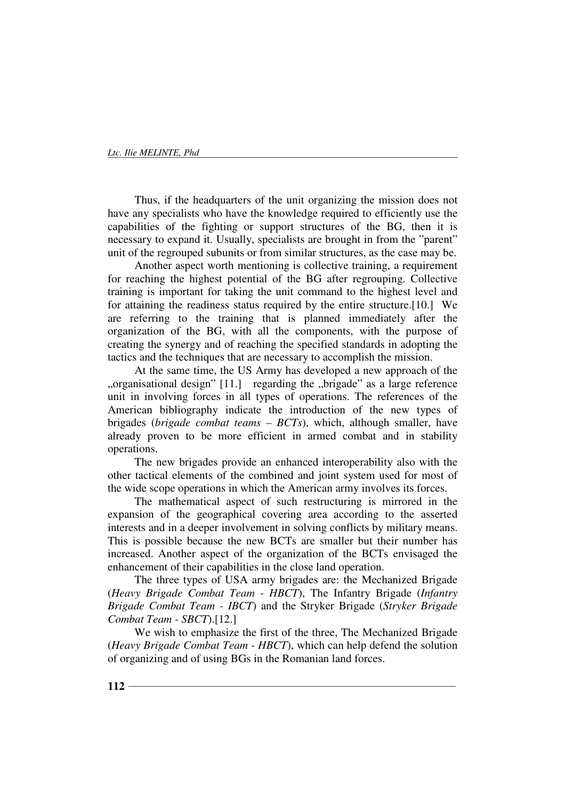Thus, if the headquarters of the unit organizing the mission does not have any specialists who have the knowledge required to efficiently use the capabilities of the fighting or support structures of the BG, then it is necessary to expand it. Usually, specialists are brought in from the "parent" unit of the regrouped subunits or from similar structures, as the case may be.

Another aspect worth mentioning is collective training, a requirement for reaching the highest potential of the BG after regrouping. Collective training is important for taking the unit command to the highest level and for attaining the readiness status required by the entire structure.[10.] We are referring to the training that is planned immediately after the organization of the BG, with all the components, with the purpose of creating the synergy and of reaching the specified standards in adopting the tactics and the techniques that are necessary to accomplish the mission.

At the same time, the US Army has developed a new approach of the "organisational design" [11.] regarding the "brigade" as a large reference unit in involving forces in all types of operations. The references of the American bibliography indicate the introduction of the new types of brigades (*brigade combat teams – BCTs*), which, although smaller, have already proven to be more efficient in armed combat and in stability operations.

The new brigades provide an enhanced interoperability also with the other tactical elements of the combined and joint system used for most of the wide scope operations in which the American army involves its forces.

The mathematical aspect of such restructuring is mirrored in the expansion of the geographical covering area according to the asserted interests and in a deeper involvement in solving conflicts by military means. This is possible because the new BCTs are smaller but their number has increased. Another aspect of the organization of the BCTs envisaged the enhancement of their capabilities in the close land operation.

The three types of USA army brigades are: the Mechanized Brigade (*Heavy Brigade Combat Team - HBCT*), The Infantry Brigade (*Infantry Brigade Combat Team - IBCT*) and the Stryker Brigade (*Stryker Brigade Combat Team - SBCT*).[12.]

We wish to emphasize the first of the three, The Mechanized Brigade (*Heavy Brigade Combat Team - HBCT*), which can help defend the solution of organizing and of using BGs in the Romanian land forces.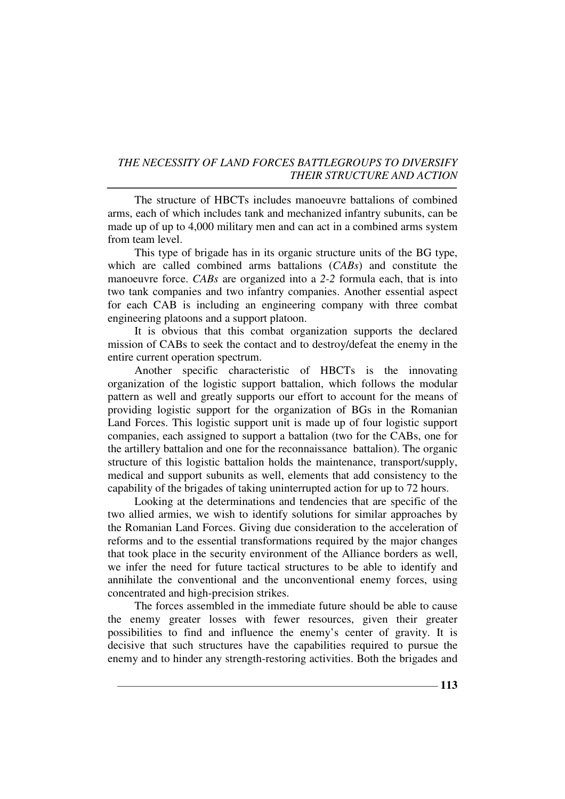The structure of HBCTs includes manoeuvre battalions of combined arms, each of which includes tank and mechanized infantry subunits, can be made up of up to 4,000 military men and can act in a combined arms system from team level.

This type of brigade has in its organic structure units of the BG type, which are called combined arms battalions (*CABs*) and constitute the manoeuvre force. *CABs* are organized into a *2-2* formula each, that is into two tank companies and two infantry companies. Another essential aspect for each CAB is including an engineering company with three combat engineering platoons and a support platoon.

It is obvious that this combat organization supports the declared mission of CABs to seek the contact and to destroy/defeat the enemy in the entire current operation spectrum.

Another specific characteristic of HBCTs is the innovating organization of the logistic support battalion, which follows the modular pattern as well and greatly supports our effort to account for the means of providing logistic support for the organization of BGs in the Romanian Land Forces. This logistic support unit is made up of four logistic support companies, each assigned to support a battalion (two for the CABs, one for the artillery battalion and one for the reconnaissance battalion). The organic structure of this logistic battalion holds the maintenance, transport/supply, medical and support subunits as well, elements that add consistency to the capability of the brigades of taking uninterrupted action for up to 72 hours.

Looking at the determinations and tendencies that are specific of the two allied armies, we wish to identify solutions for similar approaches by the Romanian Land Forces. Giving due consideration to the acceleration of reforms and to the essential transformations required by the major changes that took place in the security environment of the Alliance borders as well, we infer the need for future tactical structures to be able to identify and annihilate the conventional and the unconventional enemy forces, using concentrated and high-precision strikes.

The forces assembled in the immediate future should be able to cause the enemy greater losses with fewer resources, given their greater possibilities to find and influence the enemy's center of gravity. It is decisive that such structures have the capabilities required to pursue the enemy and to hinder any strength-restoring activities. Both the brigades and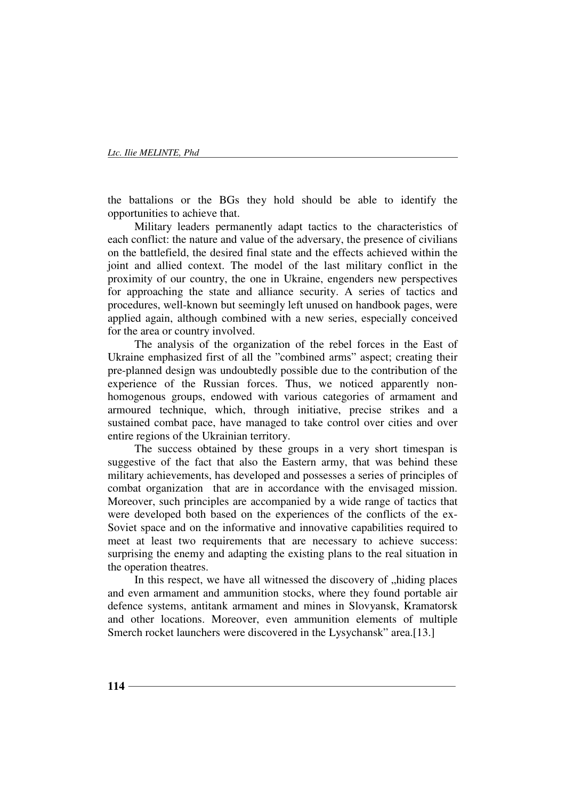the battalions or the BGs they hold should be able to identify the opportunities to achieve that.

Military leaders permanently adapt tactics to the characteristics of each conflict: the nature and value of the adversary, the presence of civilians on the battlefield, the desired final state and the effects achieved within the joint and allied context. The model of the last military conflict in the proximity of our country, the one in Ukraine, engenders new perspectives for approaching the state and alliance security. A series of tactics and procedures, well-known but seemingly left unused on handbook pages, were applied again, although combined with a new series, especially conceived for the area or country involved.

The analysis of the organization of the rebel forces in the East of Ukraine emphasized first of all the "combined arms" aspect; creating their pre-planned design was undoubtedly possible due to the contribution of the experience of the Russian forces. Thus, we noticed apparently nonhomogenous groups, endowed with various categories of armament and armoured technique, which, through initiative, precise strikes and a sustained combat pace, have managed to take control over cities and over entire regions of the Ukrainian territory.

The success obtained by these groups in a very short timespan is suggestive of the fact that also the Eastern army, that was behind these military achievements, has developed and possesses a series of principles of combat organization that are in accordance with the envisaged mission. Moreover, such principles are accompanied by a wide range of tactics that were developed both based on the experiences of the conflicts of the ex-Soviet space and on the informative and innovative capabilities required to meet at least two requirements that are necessary to achieve success: surprising the enemy and adapting the existing plans to the real situation in the operation theatres.

In this respect, we have all witnessed the discovery of "hiding places and even armament and ammunition stocks, where they found portable air defence systems, antitank armament and mines in Slovyansk, Kramatorsk and other locations. Moreover, even ammunition elements of multiple Smerch rocket launchers were discovered in the Lysychansk" area.[13.]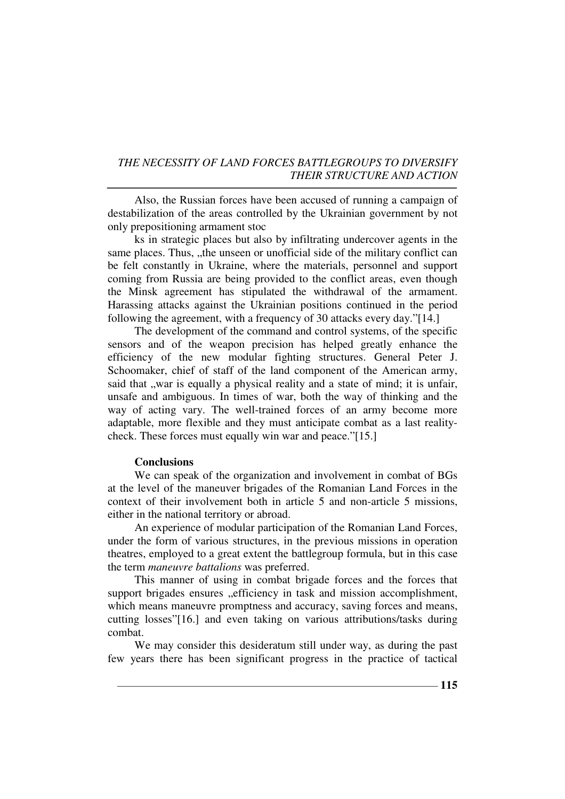Also, the Russian forces have been accused of running a campaign of destabilization of the areas controlled by the Ukrainian government by not only prepositioning armament stoc

ks in strategic places but also by infiltrating undercover agents in the same places. Thus, "the unseen or unofficial side of the military conflict can be felt constantly in Ukraine, where the materials, personnel and support coming from Russia are being provided to the conflict areas, even though the Minsk agreement has stipulated the withdrawal of the armament. Harassing attacks against the Ukrainian positions continued in the period following the agreement, with a frequency of 30 attacks every day."[14.]

The development of the command and control systems, of the specific sensors and of the weapon precision has helped greatly enhance the efficiency of the new modular fighting structures. General Peter J. Schoomaker, chief of staff of the land component of the American army, said that "war is equally a physical reality and a state of mind; it is unfair, unsafe and ambiguous. In times of war, both the way of thinking and the way of acting vary. The well-trained forces of an army become more adaptable, more flexible and they must anticipate combat as a last realitycheck. These forces must equally win war and peace."[15.]

#### **Conclusions**

We can speak of the organization and involvement in combat of BGs at the level of the maneuver brigades of the Romanian Land Forces in the context of their involvement both in article 5 and non-article 5 missions, either in the national territory or abroad.

An experience of modular participation of the Romanian Land Forces, under the form of various structures, in the previous missions in operation theatres, employed to a great extent the battlegroup formula, but in this case the term *maneuvre battalions* was preferred.

This manner of using in combat brigade forces and the forces that support brigades ensures "efficiency in task and mission accomplishment, which means maneuvre promptness and accuracy, saving forces and means, cutting losses"[16.] and even taking on various attributions/tasks during combat.

We may consider this desideratum still under way, as during the past few years there has been significant progress in the practice of tactical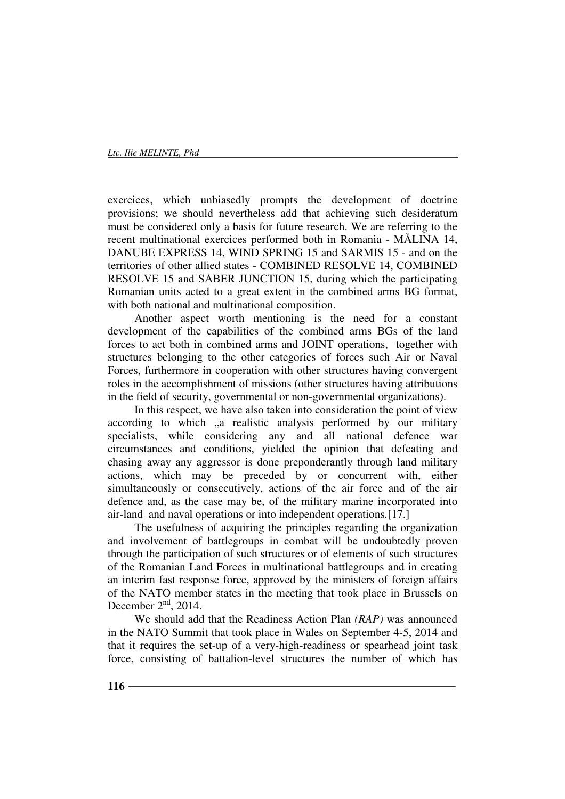exercices, which unbiasedly prompts the development of doctrine provisions; we should nevertheless add that achieving such desideratum must be considered only a basis for future research. We are referring to the recent multinational exercices performed both in Romania - MĂLINA 14, DANUBE EXPRESS 14, WIND SPRING 15 and SARMIS 15 - and on the territories of other allied states - COMBINED RESOLVE 14, COMBINED RESOLVE 15 and SABER JUNCTION 15, during which the participating Romanian units acted to a great extent in the combined arms BG format, with both national and multinational composition.

Another aspect worth mentioning is the need for a constant development of the capabilities of the combined arms BGs of the land forces to act both in combined arms and JOINT operations, together with structures belonging to the other categories of forces such Air or Naval Forces, furthermore in cooperation with other structures having convergent roles in the accomplishment of missions (other structures having attributions in the field of security, governmental or non-governmental organizations).

In this respect, we have also taken into consideration the point of view according to which "a realistic analysis performed by our military specialists, while considering any and all national defence war circumstances and conditions, yielded the opinion that defeating and chasing away any aggressor is done preponderantly through land military actions, which may be preceded by or concurrent with, either simultaneously or consecutively, actions of the air force and of the air defence and, as the case may be, of the military marine incorporated into air-land and naval operations or into independent operations*.*[17.]

The usefulness of acquiring the principles regarding the organization and involvement of battlegroups in combat will be undoubtedly proven through the participation of such structures or of elements of such structures of the Romanian Land Forces in multinational battlegroups and in creating an interim fast response force, approved by the ministers of foreign affairs of the NATO member states in the meeting that took place in Brussels on December  $2<sup>nd</sup>$ , 2014.

We should add that the Readiness Action Plan *(RAP)* was announced in the NATO Summit that took place in Wales on September 4-5, 2014 and that it requires the set-up of a very-high-readiness or spearhead joint task force, consisting of battalion-level structures the number of which has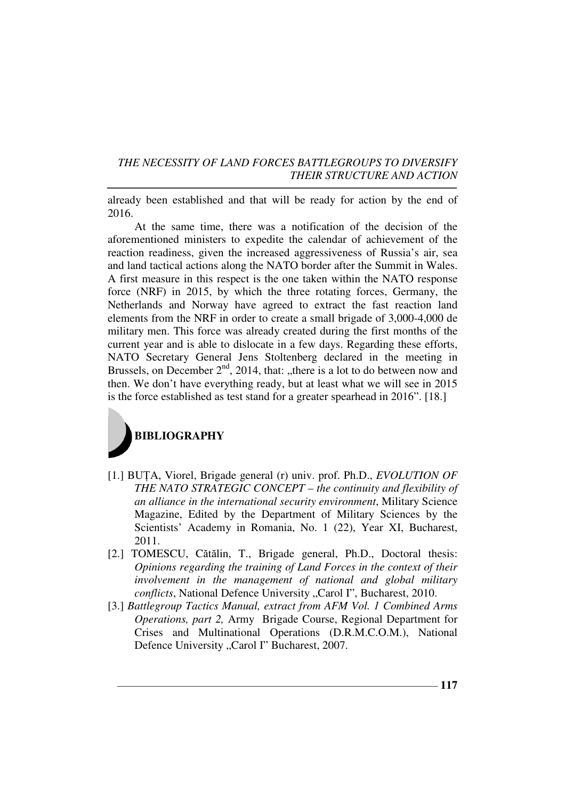already been established and that will be ready for action by the end of 2016.

At the same time, there was a notification of the decision of the aforementioned ministers to expedite the calendar of achievement of the reaction readiness, given the increased aggressiveness of Russia's air, sea and land tactical actions along the NATO border after the Summit in Wales. A first measure in this respect is the one taken within the NATO response force (NRF) in 2015, by which the three rotating forces, Germany, the Netherlands and Norway have agreed to extract the fast reaction land elements from the NRF in order to create a small brigade of 3,000-4,000 de military men. This force was already created during the first months of the current year and is able to dislocate in a few days. Regarding these efforts, NATO Secretary General Jens Stoltenberg declared in the meeting in Brussels, on December  $2<sup>nd</sup>$ , 2014, that: "there is a lot to do between now and then. We don't have everything ready, but at least what we will see in 2015 is the force established as test stand for a greater spearhead in 2016". [18.]



- [1.] BUTA, Viorel, Brigade general (r) univ. prof. Ph.D., *EVOLUTION OF THE NATO STRATEGIC CONCEPT – the continuity and flexibility of an alliance in the international security environment*, Military Science Magazine, Edited by the Department of Military Sciences by the Scientists' Academy in Romania, No. 1 (22), Year XI, Bucharest, 2011.
- [2.] TOMESCU, Cătălin, T., Brigade general, Ph.D., Doctoral thesis: *Opinions regarding the training of Land Forces in the context of their involvement in the management of national and global military conflicts*, National Defence University "Carol I", Bucharest, 2010.
- [3.] *Battlegroup Tactics Manual, extract from AFM Vol. 1 Combined Arms Operations, part 2,* Army Brigade Course, Regional Department for Crises and Multinational Operations (D.R.M.C.O.M.), National Defence University "Carol I" Bucharest, 2007.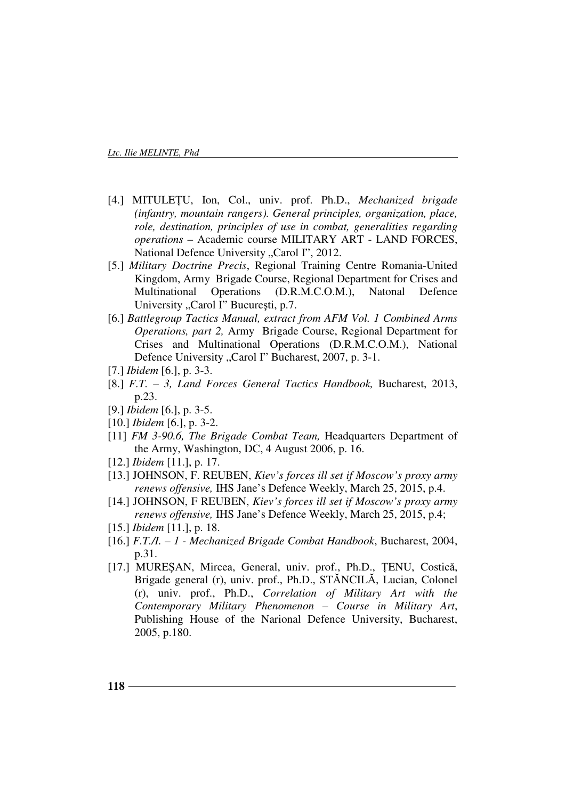- [4.] MITULEłU, Ion, Col., univ. prof. Ph.D., *Mechanized brigade (infantry, mountain rangers). General principles, organization, place, role, destination, principles of use in combat, generalities regarding operations* – Academic course MILITARY ART - LAND FORCES, National Defence University "Carol I", 2012.
- [5.] *Military Doctrine Precis*, Regional Training Centre Romania-United Kingdom, Army Brigade Course, Regional Department for Crises and Multinational Operations (D.R.M.C.O.M.), Natonal Defence University "Carol I" București, p.7.
- [6.] *Battlegroup Tactics Manual, extract from AFM Vol. 1 Combined Arms Operations, part 2,* Army Brigade Course, Regional Department for Crises and Multinational Operations (D.R.M.C.O.M.), National Defence University "Carol I" Bucharest, 2007, p. 3-1.
- [7.] *Ibidem* [6.], p. 3-3.
- [8.] *F.T. 3, Land Forces General Tactics Handbook,* Bucharest, 2013, p.23.
- [9.] *Ibidem* [6.], p. 3-5.
- [10.] *Ibidem* [6.], p. 3-2.
- [11] *FM 3-90.6, The Brigade Combat Team,* Headquarters Department of the Army, Washington, DC, 4 August 2006, p. 16.
- [12.] *Ibidem* [11.], p. 17.
- [13.] JOHNSON, F. REUBEN, *Kiev's forces ill set if Moscow's proxy army renews offensive,* IHS Jane's Defence Weekly, March 25, 2015, p.4.
- [14.] JOHNSON, F REUBEN, *Kiev's forces ill set if Moscow's proxy army renews offensive,* IHS Jane's Defence Weekly, March 25, 2015, p.4;
- [15.] *Ibidem* [11.], p. 18.
- [16.] *F.T./I. 1 Mechanized Brigade Combat Handbook*, Bucharest, 2004, p.31.
- [17.] MURESAN, Mircea, General, univ. prof., Ph.D., TENU, Costică, Brigade general (r), univ. prof., Ph.D., STĂNCILĂ, Lucian, Colonel (r), univ. prof., Ph.D., *Correlation of Military Art with the Contemporary Military Phenomenon – Course in Military Art*, Publishing House of the Narional Defence University, Bucharest, 2005, p.180.